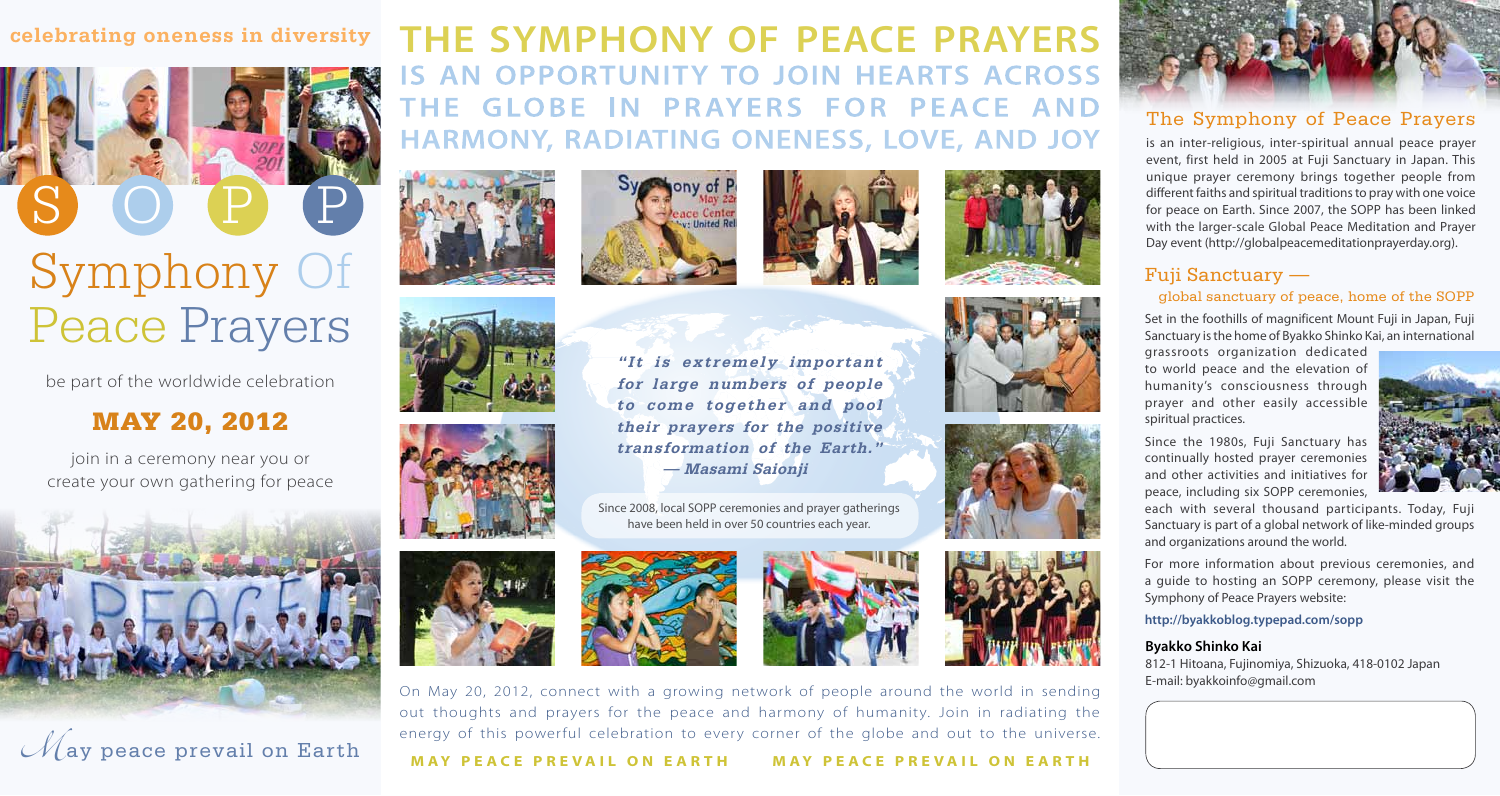### **celebrating oneness in diversity**



be part of the worldwide celebration

## MAY 20, 2012

join in a ceremony near you or create your own gathering for peace





# **THE SYMPHONY OF PEACE PRAYERS IS AN OPPORTUNITY TO JOIN HEARTS ACROSS THE GLOBE IN PRAYERS FOR PEACE AND HARMONY, RADIATING ONENESS, LOVE, AND JOY**

**"It is extremely important for large numbers of people to come together and pool their prayers for the positive transformation of the Earth."**

**— Masami Saionji**

Since 2008, local SOPP ceremonies and prayer gatherings have been held in over 50 countries each year.













On May 20, 2012, connect with a growing network of people around the world in sending out thoughts and prayers for the peace and harmony of humanity. Join in radiating the energy of this powerful celebration to every corner of the globe and out to the universe.

**MAY PEACE PRE VAIL ON EARTH MAY PEACE PRE VAIL ON EARTH**

### The Symphony of Peace Prayers

is an inter‐religious, inter‐spiritual annual peace prayer event, first held in 2005 at Fuji Sanctuary in Japan. This unique prayer ceremony brings together people from different faiths and spiritual traditions to pray with one voice for peace on Earth. Since 2007, the SOPP has been linked with the larger-scale Global Peace Meditation and Prayer Day event (http://globalpeacemeditationprayerday.org).

### Fuji Sanctuary —

#### global sanctuary of peace, home of the SOPP

Set in the foothills of magnificent Mount Fuji in Japan, Fuji Sanctuary is the home of Byakko Shinko Kai, an international

grassroots organization dedicated to world peace and the elevation of humanity's consciousness through prayer and other easily accessible spiritual practices.

Since the 1980s, Fuji Sanctuary has continually hosted prayer ceremonies and other activities and initiatives for peace, including six SOPP ceremonies,

each with several thousand participants. Today, Fuji Sanctuary is part of a global network of like‐minded groups and organizations around the world.

For more information about previous ceremonies, and a guide to hosting an SOPP ceremony, please visit the Symphony of Peace Prayers website:

#### **http://byakkoblog.typepad.com/sopp**

#### **Byakko Shinko Kai**

812‐1 Hitoana, Fujinomiya, Shizuoka, 418‐0102 Japan E‐mail: byakkoinfo@gmail.com